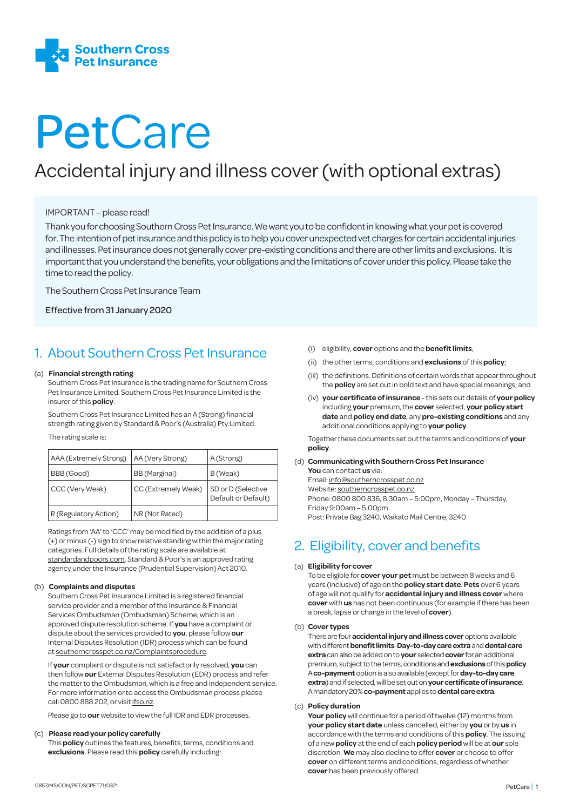

# PetCare

## Accidental injury and illness cover (with optional extras)

#### IMPORTANT – please read!

Thank you for choosing Southern Cross Pet Insurance. We want you to be confident in knowing what your pet is covered for. The intention of pet insurance and this policy is to help you cover unexpected vet charges for certain accidental injuries and illnesses. Pet insurance does not generally cover pre-existing conditions and there are other limits and exclusions. It is important that you understand the benefits, your obligations and the limitations of cover under this policy. Please take the time to read the policy.

The Southern Cross Pet Insurance Team

Effective from 31 January 2020

## 1. About Southern Cross Pet Insurance

#### (a) **Financial strength rating**

Southern Cross Pet Insurance is the trading name for Southern Cross Pet Insurance Limited. Southern Cross Pet Insurance Limited is the insurer of this **policy**.

Southern Cross Pet Insurance Limited has an A (Strong) financial strength rating given by Standard & Poor's (Australia) Pty Limited.

The rating scale is:

| AAA (Extremely Strong) | AA (Very Strong)    | A (Strong)                                |
|------------------------|---------------------|-------------------------------------------|
| BBB (Good)             | BB (Marginal)       | B (Weak)                                  |
| CCC (Very Weak)        | CC (Extremely Weak) | SD or D (Selective<br>Default or Default) |
| R (Regulatory Action)  | NR (Not Rated)      |                                           |

Ratings from 'AA' to 'CCC' may be modified by the addition of a plus (+) or minus (-) sign to show relative standing within the major rating categories. Full details of the rating scale are available at standardandpoors.com. Standard & Poor's is an approved rating agency under the Insurance (Prudential Supervision) Act 2010.

#### (b) **Complaints and disputes**

Southern Cross Pet Insurance Limited is a registered financial service provider and a member of the Insurance & Financial Services Ombudsman (Ombudsman) Scheme, which is an approved dispute resolution scheme. If **you** have a complaint or dispute about the services provided to **you**, please follow **our** Internal Disputes Resolution (IDR) process which can be found at southerncrosspet.co.nz/Complaintsprocedure.

If **your** complaint or dispute is not satisfactorily resolved, **you** can then follow **our** External Disputes Resolution (EDR) process and refer the matter to the Ombudsman, which is a free and independent service. For more information or to access the Ombudsman process please call 0800 888 202, or visit ifso.nz.

Please go to **our** website to view the full IDR and EDR processes.

#### (c) **Please read your policy carefully**

This **policy** outlines the features, benefits, terms, conditions and **exclusions**. Please read this **policy** carefully including:

- (i) eligibility, **cover** options and the **benefit limits**;
- (ii) the other terms, conditions and **exclusions** of this **policy**;
- (iii) the definitions. Definitions of certain words that appear throughout the **policy** are set out in bold text and have special meanings; and
- (iv) **your certificate of insurance** this sets out details of **your policy** including **your** premium, the **cover** selected, **your policy start date** and **policy end date**, any **pre-existing conditions** and any additional conditions applying to **your policy**.

Together these documents set out the terms and conditions of **your policy**.

(d) **Communicating with Southern Cross Pet Insurance You** can contact **us** via: Email: info@southerncrosspet.co.nz Website: southerncrosspet.co.nz Phone: 0800 800 836, 8:30am – 5:00pm, Monday – Thursday, Friday 9:00am – 5:00pm. Post: Private Bag 3240, Waikato Mail Centre, 3240

## 2. Eligibility, cover and benefits

#### (a) **Eligibility for cover**

 To be eligible for **cover your pet** must be between 8 weeks and 6 years (inclusive) of age on the **policy start date**. **Pets** over 6 years of age will not qualify for **accidental injury and illness cover** where **cover** with **us** has not been continuous (for example if there has been a break, lapse or change in the level of **cover**).

#### (b) **Cover types**

 There are four **accidental injury and illness cover** options available with different **benefit limits**. **Day-to-day care extra** and **dental care extra** can also be added on to **your** selected **cover** for an additional premium, subject to the terms, conditions and **exclusions** of this **policy**. A **co-payment** option is also available (except for **day-to-day care extra**) and if selected, will be set out on **your certificate of insurance**. A mandatory 20% **co-payment** applies to **dental care extra**.

#### (c) **Policy duration**

 **Your policy** will continue for a period of twelve (12) months from **your policy start date** unless cancelled, either by **you** or by **us** in accordance with the terms and conditions of this **policy**. The issuing of a new **policy** at the end of each **policy period** will be at **our** sole discretion. **We** may also decline to offer **cover** or choose to offer **cover** on different terms and conditions, regardless of whether **cover** has been previously offered.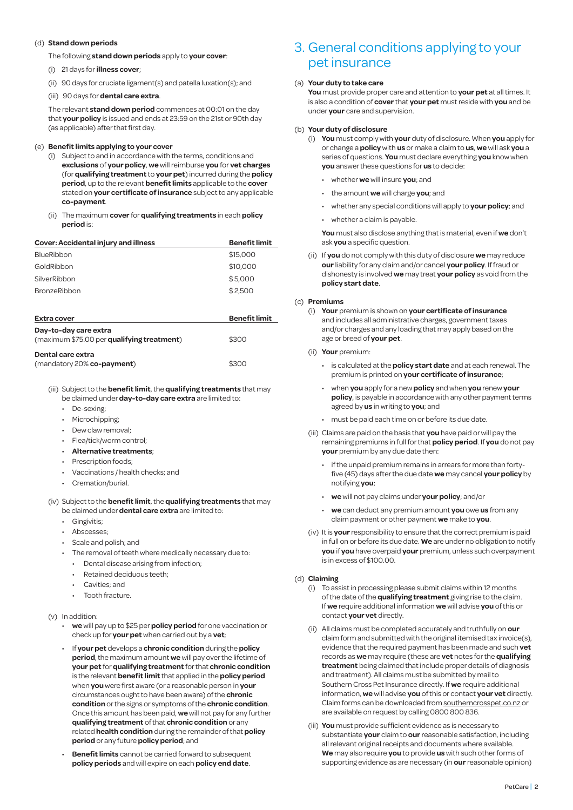#### (d) **Stand down periods**

The following **stand down periods** apply to **your cover**:

- (i) 21 days for **illness cover**;
- (ii) 90 days for cruciate ligament(s) and patella luxation(s); and
- (iii) 90 days for **dental care extra**.

 The relevant **stand down period** commences at 00:01 on the day that **your policy** is issued and ends at 23:59 on the 21st or 90th day (as applicable) after that first day.

#### (e) **Benefit limits applying to your cover**

- (i) Subject to and in accordance with the terms, conditions and **exclusions** of **your policy**, **we** will reimburse **you** for **vet charges** (for **qualifying treatment** to **your pet**) incurred during the **policy period**, up to the relevant **benefit limits** applicable to the **cover**  stated on **your certificate of insurance** subject to any applicable **co-payment**.
- (ii) The maximum **cover** for **qualifying treatments** in each **policy period** is:

| Cover: Accidental injury and illness | <b>Benefit limit</b> |
|--------------------------------------|----------------------|
| <b>BlueRibbon</b>                    | \$15,000             |
| GoldRibbon                           | \$10,000             |
| SilverRibbon                         | \$5,000              |
| <b>BronzeRibbon</b>                  | \$2.500              |
|                                      |                      |

| Extra cover                                                         | <b>Benefit limit</b> |
|---------------------------------------------------------------------|----------------------|
| Day-to-day care extra<br>(maximum \$75.00 per qualifying treatment) | \$300                |
| Dental care extra<br>(mandatory 20% co-payment)                     | \$300                |

(iii) Subject to the **benefit limit**, the **qualifying treatments** that may be claimed under **day-to-day care extra** are limited to:

- De-sexing;
- Microchipping;
- Dew claw removal;
- Flea/tick/worm control;
- **Alternative treatments**;
- Prescription foods;
- Vaccinations / health checks; and
- Cremation/burial.

#### (iv) Subject to the **benefit limit**, the **qualifying treatments** that may be claimed under **dental care extra** are limited to:

- Gingivitis;
- Abscesses;
- Scale and polish; and
- The removal of teeth where medically necessary due to:
	- Dental disease arising from infection;
	- Retained deciduous teeth;
	- Cavities; and
	- Tooth fracture.

#### (v) In addition:

- **we** will pay up to \$25 per **policy period** for one vaccination or check up for **your pet** when carried out by a **vet**;
- If **your pet** develops a **chronic condition** during the **policy period**, the maximum amount **we** will pay over the lifetime of **your pet** for **qualifying treatment** for that **chronic condition**  is the relevant **benefit limit** that applied in the **policy period** when **you** were first aware (or a reasonable person in **your** circumstances ought to have been aware) of the **chronic condition** or the signs or symptoms of the **chronic condition**. Once this amount has been paid, **we** will not pay for any further **qualifying treatment** of that **chronic condition** or any related **health condition** during the remainder of that **policy period** or any future **policy period**; and
- **Benefit limits** cannot be carried forward to subsequent **policy periods** and will expire on each **policy end date**.

### 3. General conditions applying to your pet insurance

#### (a) **Your duty to take care**

 **You** must provide proper care and attention to **your pet** at all times. It is also a condition of **cover** that **your pet** must reside with **you** and be under **your** care and supervision.

#### (b) **Your duty of disclosure**

- (i) **You** must comply with **your** duty of disclosure. When **you** apply for or change a **policy** with **us** or make a claim to **us**, **we** will ask **you** a series of questions. **You** must declare everything **you** know when **you** answer these questions for **us** to decide:
	- whether **we** will insure **you**; and
	- the amount **we** will charge **you**; and
	- whether any special conditions will apply to **your policy**; and
	- whether a claim is payable.

 **You** must also disclose anything that is material, even if **we** don't ask **you** a specific question.

(ii) If **you** do not comply with this duty of disclosure **we** may reduce **our** liability for any claim and/or cancel **your policy**. If fraud or dishonesty is involved **we** may treat **your policy** as void from the **policy start date**.

#### (c) **Premiums**

- (i) **Your** premium is shown on **your certificate of insurance** and includes all administrative charges, government taxes and/or charges and any loading that may apply based on the age or breed of **your pet**.
- (ii) **Your** premium:
	- is calculated at the **policy start date** and at each renewal. The premium is printed on **your certificate of insurance**;
	- when **you** apply for a new **policy** and when **you** renew **your policy**, is payable in accordance with any other payment terms agreed by **us** in writing to **you**; and
	- must be paid each time on or before its due date.
- (iii) Claims are paid on the basis that **you** have paid or will pay the remaining premiums in full for that **policy period**. If **you** do not pay **your** premium by any due date then:
	- if the unpaid premium remains in arrears for more than fortyfive (45) days after the due date **we** may cancel **your policy** by notifying **you**;
	- **we** will not pay claims under **your policy**; and/or
	- **we** can deduct any premium amount **you** owe **us** from any claim payment or other payment **we** make to **you**.
- (iv) It is **your** responsibility to ensure that the correct premium is paid in full on or before its due date. **We** are under no obligation to notify **you** if **you** have overpaid **your** premium, unless such overpayment is in excess of \$100.00.

#### (d) **Claiming**

- (i) To assist in processing please submit claims within 12 months of the date of the **qualifying treatment** giving rise to the claim. If **we** require additional information **we** will advise **you** of this or contact **your vet** directly.
- (ii) All claims must be completed accurately and truthfully on **our**  claim form and submitted with the original itemised tax invoice(s), evidence that the required payment has been made and such **vet**  records as **we** may require (these are **vet** notes for the **qualifying treatment** being claimed that include proper details of diagnosis and treatment). All claims must be submitted by mail to Southern Cross Pet Insurance directly. If **we** require additional information, **we** will advise **you** of this or contact **your vet** directly. Claim forms can be downloaded from southerncrosspet.co.nz or are available on request by calling 0800 800 836.
- (iii) **You** must provide sufficient evidence as is necessary to substantiate **your** claim to **our** reasonable satisfaction, including all relevant original receipts and documents where available. **We** may also require **you** to provide **us** with such other forms of supporting evidence as are necessary (in **our** reasonable opinion)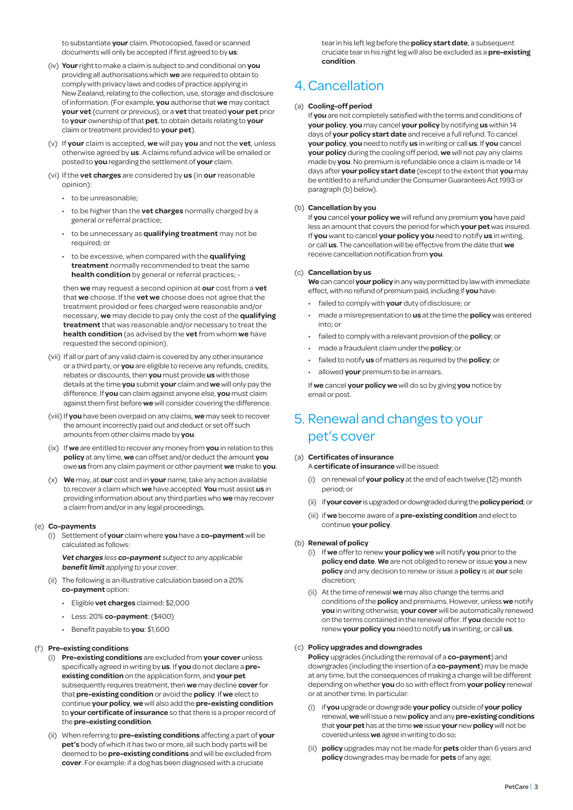to substantiate **your** claim. Photocopied, faxed or scanned documents will only be accepted if first agreed to by **us**.

- (iv) **Your** right to make a claim is subject to and conditional on **you**  providing all authorisations which **we** are required to obtain to comply with privacy laws and codes of practice applying in New Zealand, relating to the collection, use, storage and disclosure of information. (For example, **you** authorise that **we** may contact **your vet** (current or previous), or a **vet** that treated **your pet** prior to **your** ownership of that **pet**, to obtain details relating to **your** claim or treatment provided to **your pet**).
- (v) If **your** claim is accepted, **we** will pay **you** and not the **vet**, unless otherwise agreed by **us**. A claims refund advice will be emailed or posted to **you** regarding the settlement of **your** claim.
- (vi) If the **vet charges** are considered by **us** (in **our** reasonable opinion):
	- to be unreasonable;
	- to be higher than the **vet charges** normally charged by a general or referral practice;
	- to be unnecessary as **qualifying treatment** may not be required; or
	- to be excessive, when compared with the **qualifying treatment** normally recommended to treat the same **health condition** by general or referral practices; -

then **we** may request a second opinion at **our** cost from a **vet** that **we** choose. If the **vet we** choose does not agree that the treatment provided or fees charged were reasonable and/or necessary, **we** may decide to pay only the cost of the **qualifying treatment** that was reasonable and/or necessary to treat the **health condition** (as advised by the **vet** from whom **we** have requested the second opinion).

- (vii) If all or part of any valid claim is covered by any other insurance or a third party, or **you** are eligible to receive any refunds, credits, rebates or discounts, then **you** must provide **us** with those details at the time **you** submit **your** claim and **we** will only pay the difference. If **you** can claim against anyone else, **you** must claim against them first before **we** will consider covering the difference.
- (viii) If **you** have been overpaid on any claims, **we** may seek to recover the amount incorrectly paid out and deduct or set off such amounts from other claims made by **you**.
- (ix) If **we** are entitled to recover any money from **you** in relation to this **policy** at any time, **we** can offset and/or deduct the amount **you**  owe **us** from any claim payment or other payment **we** make to **you**.
- (x) **We** may, at **our** cost and in **your** name, take any action available to recover a claim which **we** have accepted. **You** must assist **us** in providing information about any third parties who **we** may recover a claim from and/or in any legal proceedings.

#### (e) **Co-payments**

(i) Settlement of **your** claim where **you** have a **co-payment** will be calculated as follows:

 **Vet charges** less **co-payment** subject to any applicable **benefit limit** applying to your cover.

- (ii) The following is an illustrative calculation based on a 20% **co-payment** option:
	- Eligible **vet charges** claimed: \$2,000
	- Less: 20% **co-payment**: (\$400)
	- Benefit payable to **you**: \$1,600

#### (f) **Pre-existing conditions**

- (i) **Pre-existing conditions** are excluded from **your cover** unless specifically agreed in writing by **us**. If **you** do not declare a **preexisting condition** on the application form, and **your pet**  subsequently requires treatment, then **we** may decline **cover** for that **pre-existing condition** or avoid the **policy**. If **we** elect to continue **your policy**, **we** will also add the **pre-existing condition** to **your certificate of insurance** so that there is a proper record of the **pre-existing condition**.
- (ii) When referring to **pre-existing conditions** affecting a part of **your pet's** body of which it has two or more, all such body parts will be deemed to be **pre-existing conditions** and will be excluded from **cover**. For example: if a dog has been diagnosed with a cruciate

tear in his left leg before the **policy start date**, a subsequent cruciate tear in his right leg will also be excluded as a **pre-existing condition**.

## 4. Cancellation

#### (a) **Cooling-off period**

 If **you** are not completely satisfied with the terms and conditions of **your policy**, **you** may cancel **your policy** by notifying **us** within 14 days of **your policy start date** and receive a full refund. To cancel **your policy**, **you** need to notify **us** in writing or call **us**. If **you** cancel **your policy** during the cooling off period, **we** will not pay any claims made by **you**. No premium is refundable once a claim is made or 14 days after **your policy start date** (except to the extent that **you** may be entitled to a refund under the Consumer Guarantees Act 1993 or paragraph (b) below).

#### (b) **Cancellation by you**

If **you** cancel **your policy we** will refund any premium **you** have paid less an amount that covers the period for which **your pet** was insured. If **you** want to cancel **your policy you** need to notify **us** in writing, or call **us**. The cancellation will be effective from the date that **we** receive cancellation notification from **you**.

#### (c) **Cancellation by us**

 **We** can cancel **your policy** in any way permitted by law with immediate effect, with no refund of premium paid, including if **you** have:

- failed to comply with **your** duty of disclosure; or
- made a misrepresentation to **us** at the time the **policy** was entered into; or
- failed to comply with a relevant provision of the **policy**; or
- made a fraudulent claim under the **policy**; or
- failed to notify **us** of matters as required by the **policy**; or
- allowed **your** premium to be in arrears.

 If **we** cancel **your policy we** will do so by giving **you** notice by email or post.

## 5. Renewal and changes to your pet's cover

#### (a) **Certificates of insurance**

A **certificate of insurance** will be issued:

- (i) on renewal of **your policy** at the end of each twelve (12) month period; or
- (ii) if **your cover** is upgraded or downgraded during the **policy period**; or
- (iii) if **we** become aware of a **pre-existing condition** and elect to continue **your policy**.

#### (b) **Renewal of policy**

- (i) If **we** offer to renew **your policy we** will notify **you** prior to the **policy end date**. **We** are not obliged to renew or issue **you** a new **policy** and any decision to renew or issue a **policy** is at **our** sole discretion;
- (ii) At the time of renewal **we** may also change the terms and conditions of the **policy** and premiums. However, unless **we** notify **you** in writing otherwise, **your cover** will be automatically renewed on the terms contained in the renewal offer. If **you** decide not to renew **your policy you** need to notify **us** in writing, or call **us**.

#### (c) **Policy upgrades and downgrades**

 **Policy** upgrades (including the removal of a **co-payment**) and downgrades (including the insertion of a **co-payment**) may be made at any time, but the consequences of making a change will be different depending on whether **you** do so with effect from **your policy** renewal or at another time. In particular:

- (i) if **you** upgrade or downgrade **yourpolicy** outside of **yourpolicy**  renewal, **we** will issue a new **policy** and any **pre-existing conditions**  that **your pet** has at the time **we** issue **your** new **policy** will not be covered unless **we** agree in writing to do so;
- (ii) **policy** upgrades may not be made for **pets** older than 6 years and **policy** downgrades may be made for **pets** of any age;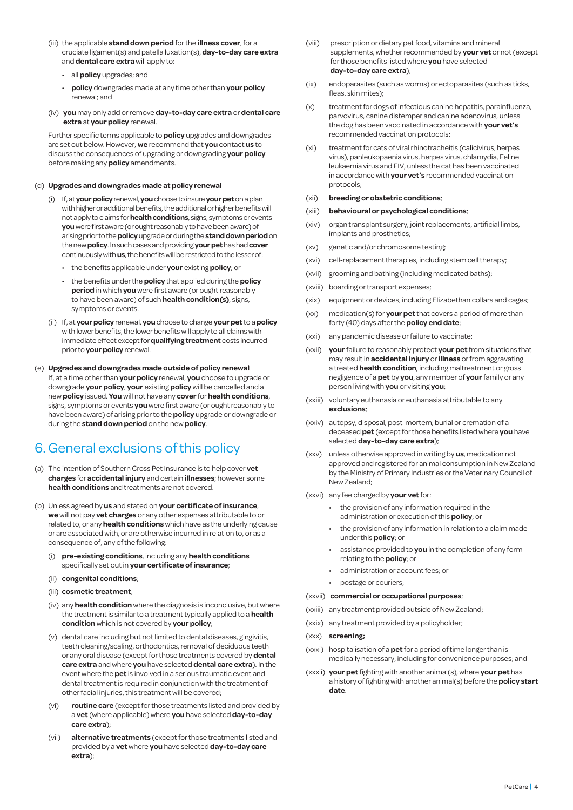- (iii) the applicable **stand down period** for the **illness cover**, for a cruciate ligament(s) and patella luxation(s), **day-to-day care extra** and **dental care extra** will apply to:
	- all **policy** upgrades; and
	- **policy** downgrades made at any time other than **your policy**  renewal; and
- (iv) **you** may only add or remove **day-to-day care extra** or **dental care extra** at **your policy** renewal.

 Further specific terms applicable to **policy** upgrades and downgrades are set out below. However, **we** recommend that **you** contact **us** to discuss the consequences of upgrading or downgrading **your policy** before making any **policy** amendments.

#### (d) **Upgrades and downgrades made at policy renewal**

- (i) If, at **your policy** renewal, **you** choose to insure **your pet** on a plan with higher or additional benefits, the additional or higher benefits will not apply to claims for **health conditions**, signs, symptoms or events **you** were first aware (or ought reasonably to have been aware) of arising prior to the **policy** upgrade or during the **stand down period** on the new **policy**. In such cases and providing **your pet** has had **cover**  continuously with **us**, the benefits will be restricted to the lesser of:
	- the benefits applicable under **your** existing **policy**; or
	- the benefits under the **policy** that applied during the **policy period** in which **you** were first aware (or ought reasonably to have been aware) of such **health condition(s)**, signs, symptoms or events.
- (ii) If, at your policy renewal, you choose to change your pet to a policy with lower benefits, the lower benefits will apply to all claims with immediate effect except for **qualifying treatment** costs incurred prior to **your policy** renewal.
- (e) **Upgrades and downgrades made outside of policy renewal** If, at a time other than **your policy** renewal, **you** choose to upgrade or downgrade **your policy**, **your** existing **policy** will be cancelled and a new **policy** issued. **You** will not have any **cover** for **health conditions**, signs, symptoms or events **you** were first aware (or ought reasonably to have been aware) of arising prior to the **policy** upgrade or downgrade or during the **stand down period** on the new **policy**.

## 6.General exclusions of this policy

- (a) The intention of Southern Cross Pet Insurance is to help cover **vet charges** for **accidental injury** and certain **illnesses**; however some **health conditions** and treatments are not covered.
- (b) Unless agreed by **us** and stated on **your certificate of insurance**, **we** will not pay **vet charges** or any other expenses attributable to or related to, or any **health conditions** which have as the underlying cause or are associated with, or are otherwise incurred in relation to, or as a consequence of, any of the following:
	- (i) **pre-existing conditions**, including any **health conditions**  specifically set out in **your certificate of insurance**;
	- (ii) **congenital conditions**;
	- (iii) **cosmetic treatment**;
	- (iv) any **health condition** where the diagnosis is inconclusive, but where the treatment is similar to a treatment typically applied to a **health condition** which is not covered by **your policy**;
	- (v) dental care including but not limited to dental diseases, gingivitis, teeth cleaning/scaling, orthodontics, removal of deciduous teeth or any oral disease (except for those treatments covered by **dental care extra** and where **you** have selected **dental care extra**). In the event where the **pet** is involved in a serious traumatic event and dental treatment is required in conjunction with the treatment of other facial injuries, this treatment will be covered;
	- (vi) **routine care** (except for those treatments listed and provided by a **vet** (where applicable) where **you** have selected **day-to-day care extra**);
	- (vii) **alternative treatments** (except for those treatments listed and provided by a **vet** where **you** have selected **day-to-day care extra**);
- (viii) prescription or dietary pet food, vitamins and mineral supplements, whether recommended by **your vet** or not (except for those benefits listed where **you** have selected **day-to-day care extra**);
- (ix) endoparasites (such as worms) or ectoparasites (such as ticks, fleas, skin mites);
- (x) treatment for dogs of infectious canine hepatitis, parainfluenza, parvovirus, canine distemper and canine adenovirus, unless the dog has been vaccinated in accordance with **your vet's** recommended vaccination protocols;
- (xi) treatment for cats of viral rhinotracheitis (calicivirus, herpes virus), panleukopaenia virus, herpes virus, chlamydia, Feline leukaemia virus and FIV, unless the cat has been vaccinated in accordance with **your vet's** recommended vaccination protocols;

#### (xii) **breeding or obstetric conditions**;

#### (xiii) **behavioural or psychological conditions**;

- (xiv) organ transplant surgery, joint replacements, artificial limbs, implants and prosthetics;
- (xv) genetic and/or chromosome testing;
- (xvi) cell-replacement therapies, including stem cell therapy;
- (xvii) grooming and bathing (including medicated baths);
- (xviii) boarding or transport expenses;
- (xix) equipment or devices, including Elizabethan collars and cages;
- (xx) medication(s) for **your pet** that covers a period of more than forty (40) days after the **policy end date**;
- (xxi) any pandemic disease or failure to vaccinate;
- (xxii) **your** failure to reasonably protect **your pet** from situations that may result in **accidental injury** or **illness** or from aggravating a treated **health condition**, including maltreatment or gross negligence of a **pet** by **you**, any member of **your** family or any person living with **you** or visiting **you**;
- (xxiii) voluntary euthanasia or euthanasia attributable to any **exclusions**;
- (xxiv) autopsy, disposal, post-mortem, burial or cremation of a deceased **pet** (except for those benefits listed where **you** have selected **day-to-day care extra**);
- (xxv) unless otherwise approved in writing by **us**, medication not approved and registered for animal consumption in New Zealand by the Ministry of Primary Industries or the Veterinary Council of New Zealand;
- (xxvi) any fee charged by **your vet** for:
	- the provision of any information required in the administration or execution of this **policy**; or
	- the provision of any information in relation to a claim made under this **policy**; or
	- assistance provided to **you** in the completion of any form relating to the **policy**; or
	- administration or account fees; or
	- postage or couriers;

#### (xxvii) **commercial or occupational purposes**;

- (xxiii) any treatment provided outside of New Zealand;
- (xxix) any treatment provided by a policyholder;
- (xxx) **screening;**
- (xxxi) hospitalisation of a **pet** for a period of time longer than is medically necessary, including for convenience purposes; and
- (xxxii) **your pet** fighting with another animal(s), where **your pet** has a history of fighting with another animal(s) before the **policy start date**.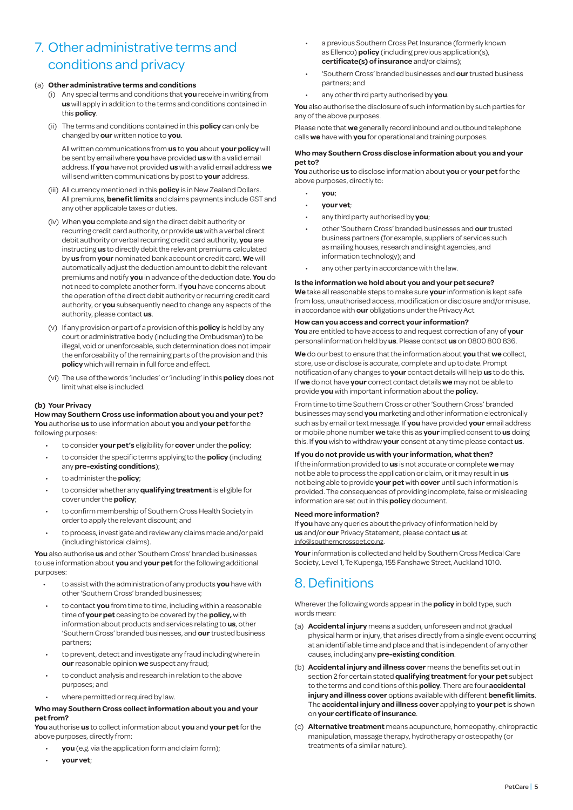## 7. Other administrative terms and conditions and privacy

#### (a) **Other administrative terms and conditions**

- (i) Any special terms and conditions that **you** receive in writing from **us** will apply in addition to the terms and conditions contained in this **policy**.
- (ii) The terms and conditions contained in this **policy** can only be changed by **our** written notice to **you**.

 All written communications from **us** to **you** about **your policy** will be sent by email where **you** have provided **us** with a valid email address. If **you** have not provided **us** with a valid email address **we** will send written communications by post to **your** address.

- (iii) All currency mentioned in this **policy** is in New Zealand Dollars. All premiums, **benefit limits** and claims payments include GST and any other applicable taxes or duties.
- (iv) When **you** complete and sign the direct debit authority or recurring credit card authority, or provide **us** with a verbal direct debit authority or verbal recurring credit card authority, **you** are instructing **us** to directly debit the relevant premiums calculated by **us** from **your** nominated bank account or credit card. **We** will automatically adjust the deduction amount to debit the relevant premiums and notify **you** in advance of the deduction date. **You** do not need to complete another form. If **you** have concerns about the operation of the direct debit authority or recurring credit card authority, or **you** subsequently need to change any aspects of the authority, please contact **us**.
- (v) If any provision or part of a provision of this **policy** is held by any court or administrative body (including the Ombudsman) to be illegal, void or unenforceable, such determination does not impair the enforceability of the remaining parts of the provision and this **policy** which will remain in full force and effect.
- (vi) The use of the words 'includes' or 'including' in this **policy** does not limit what else is included.

#### **(b) Your Privacy**

#### **How may Southern Cross use information about you and your pet? You** authorise **us** to use information about **you** and **your pet** for the following purposes:

- to consider **your pet's** eligibility for **cover** under the **policy**;
- to consider the specific terms applying to the **policy** (including any **pre-existing conditions**);
- to administer the **policy**;
- to consider whether any **qualifying treatment** is eligible for cover under the **policy**;
- to confirm membership of Southern Cross Health Society in order to apply the relevant discount; and
- to process, investigate and review any claims made and/or paid (including historical claims).

**You** also authorise **us** and other 'Southern Cross' branded businesses to use information about **you** and **your pet** for the following additional purposes:

- to assist with the administration of any products **you** have with other 'Southern Cross' branded businesses;
- to contact **you** from time to time, including within a reasonable time of **your pet** ceasing to be covered by the **policy,** with information about products and services relating to **us**, other 'Southern Cross' branded businesses, and **our** trusted business partners;
- to prevent, detect and investigate any fraud including where in **our** reasonable opinion **we** suspect any fraud;
- to conduct analysis and research in relation to the above purposes; and
- where permitted or required by law.

#### **Who may Southern Cross collect information about you and your pet from?**

**You** authorise **us** to collect information about **you** and **your pet** for the above purposes, directly from:

- **you** (e.g. via the application form and claim form);
- **your vet**;
- a previous Southern Cross Pet Insurance (formerly known as Ellenco) **policy** (including previous application(s), **certificate(s) of insurance** and/or claims);
- 'Southern Cross' branded businesses and **our** trusted business partners; and
- any other third party authorised by **you**.

**You** also authorise the disclosure of such information by such parties for any of the above purposes.

Please note that **we** generally record inbound and outbound telephone calls **we** have with **you** for operational and training purposes.

#### **Who may Southern Cross disclose information about you and your pet to?**

**You** authorise **us** to disclose information about **you** or **your pet** for the above purposes, directly to:

- **you**;
- **your vet**;
- any third party authorised by **you**;
- other 'Southern Cross' branded businesses and **our** trusted business partners (for example, suppliers of services such as mailing houses, research and insight agencies, and information technology); and
- any other party in accordance with the law.

#### **Is the information we hold about you and your pet secure?**

**We** take all reasonable steps to make sure **your** information is kept safe from loss, unauthorised access, modification or disclosure and/or misuse, in accordance with **our** obligations under the Privacy Act

#### **How can you access and correct your information?**

**You** are entitled to have access to and request correction of any of **your** personal information held by **us**. Please contact **us** on 0800 800 836.

**We** do our best to ensure that the information about **you** that **we** collect, store, use or disclose is accurate, complete and up to date. Prompt notification of any changes to **your** contact details will help **us** to do this. If **we** do not have **your** correct contact details **we** may not be able to provide **you** with important information about the **policy.**

From time to time Southern Cross or other 'Southern Cross' branded businesses may send **you** marketing and other information electronically such as by email or text message. If **you** have provided **your** email address or mobile phone number **we** take this as **your** implied consent to **us** doing this. If **you** wish to withdraw **your** consent at any time please contact **us**.

#### **If you do not provide us with your information, what then?**

If the information provided to **us** is not accurate or complete **we** may not be able to process the application or claim, or it may result in **us** not being able to provide **your pet** with **cover** until such information is provided. The consequences of providing incomplete, false or misleading information are set out in this **policy** document.

#### **Need more information?**

If **you** have any queries about the privacy of information held by **us** and/or **our** Privacy Statement, please contact **us** at info@southerncrosspet.co.nz.

**Your** information is collected and held by Southern Cross Medical Care Society, Level 1, Te Kupenga, 155 Fanshawe Street, Auckland 1010.

## 8. Definitions

Wherever the following words appear in the **policy** in bold type, such words mean:

- (a) **Accidental injury** means a sudden, unforeseen and not gradual physical harm or injury, that arises directly from a single event occurring at an identifiable time and place and that is independent of any other causes, including any **pre-existing condition**.
- (b) **Accidental injury and illness cover** means the benefits set out in section 2 for certain stated **qualifying treatment** for **your pet** subject to the terms and conditions of this **policy**. There are four **accidental injury and illness cover** options available with different **benefit limits**. The **accidental injury and illness cover** applying to **your pet** is shown on **your certificate of insurance**.
- (c) **Alternative treatment** means acupuncture, homeopathy, chiropractic manipulation, massage therapy, hydrotherapy or osteopathy (or treatments of a similar nature).